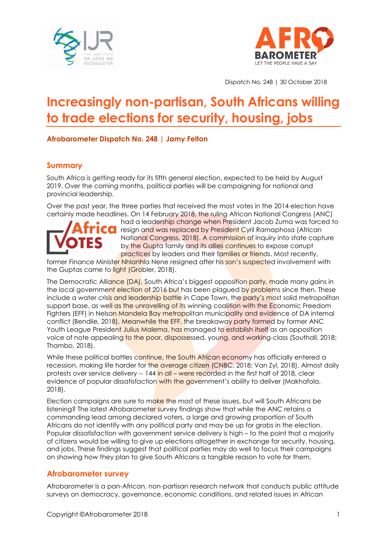



Dispatch No. 248 | 30 October 2018

# **Increasingly non-partisan, South Africans willing to trade elections for security, housing, jobs**

#### **Afrobarometer Dispatch No. 248 | Jamy Felton**

### **Summary**

South Africa is getting ready for its fifth general election, expected to be held by August 2019. Over the coming months, political parties will be campaigning for national and provincial leadership.

Over the past year, the three parties that received the most votes in the 2014 election have certainly made headlines. On 14 February 2018, the ruling African National Congress (ANC)

had a leadership change when President Jacob Zuma was forced to CO

resign and was replaced by President Cyril Ramaphosa (African National Congress, 2018). A commission of inquiry into state capture by the Gupta family and its allies continues to expose corrupt practices by leaders and their families or friends. Most recently,

former Finance Minister Nhlanhla Nene resigned after his son's suspected involvement with the Guptas came to light (Grobler, 2018).

The Democratic Alliance (DA), South Africa's biggest opposition party, made many gains in the local government election of 2016 but has been plagued by problems since then. These include a water crisis and leadership battle in Cape Town, the party's most solid metropolitan support base, as well as the unravelling of its winning coalition with the Economic Freedom Fighters (EFF) in Nelson Mandela Bay metropolitan municipality and evidence of DA internal conflict (Bendile, 2018). Meanwhile the EFF, the breakaway party formed by former ANC Youth League President Julius Malema, has managed to establish itself as an opposition voice of note appealing to the poor, dispossessed, young, and working-class (Southall, 2018; Thambo, 2018).

While these political battles continue, the South African economy has officially entered a recession, making life harder for the average citizen (CNBC, 2018; Van Zyl, 2018). Almost daily protests over service delivery -- 144 in all – were recorded in the first half of 2018, clear evidence of popular dissatisfaction with the government's ability to deliver (Makhafola, 2018).

Election campaigns are sure to make the most of these issues, but will South Africans be listening? The latest Afrobarometer survey findings show that while the ANC retains a commanding lead among declared voters, a large and growing proportion of South Africans do not identify with any political party and may be up for grabs in the election. Popular dissatisfaction with government service delivery is high – to the point that a majority of citizens would be willing to give up elections altogether in exchange for security, housing, and jobs. These findings suggest that political parties may do well to focus their campaigns on showing how they plan to give South Africans a tangible reason to vote for them.

## **Afrobarometer survey**

Afrobarometer is a pan-African, non-partisan research network that conducts public attitude surveys on democracy, governance, economic conditions, and related issues in African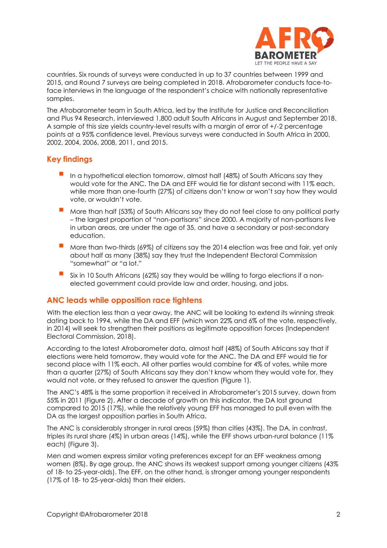

countries. Six rounds of surveys were conducted in up to 37 countries between 1999 and 2015, and Round 7 surveys are being completed in 2018. Afrobarometer conducts face-toface interviews in the language of the respondent's choice with nationally representative samples.

The Afrobarometer team in South Africa, led by the Institute for Justice and Reconciliation and Plus 94 Research, interviewed 1,800 adult South Africans in August and September 2018. A sample of this size yields country-level results with a margin of error of +/-2 percentage points at a 95% confidence level. Previous surveys were conducted in South Africa in 2000, 2002, 2004, 2006, 2008, 2011, and 2015.

## **Key findings**

- In a hypothetical election tomorrow, almost half (48%) of South Africans say they would vote for the ANC. The DA and EFF would tie for distant second with 11% each, while more than one-fourth (27%) of citizens don't know or won't say how they would vote, or wouldn't vote.
- More than half (53%) of South Africans say they do not feel close to any political party – the largest proportion of "non-partisans" since 2000. A majority of non-partisans live in urban areas, are under the age of 35, and have a secondary or post-secondary education.
- More than two-thirds (69%) of citizens say the 2014 election was free and fair, yet only about half as many (38%) say they trust the Independent Electoral Commission "somewhat" or "a lot."
- Six in 10 South Africans (62%) say they would be willing to forgo elections if a nonelected government could provide law and order, housing, and jobs.

### **ANC leads while opposition race tightens**

With the election less than a year away, the ANC will be looking to extend its winning streak dating back to 1994, while the DA and EFF (which won 22% and 6% of the vote, respectively, in 2014) will seek to strengthen their positions as legitimate opposition forces (Independent Electoral Commission, 2018).

According to the latest Afrobarometer data, almost half (48%) of South Africans say that if elections were held tomorrow, they would vote for the ANC. The DA and EFF would tie for second place with 11% each. All other parties would combine for 4% of votes, while more than a quarter (27%) of South Africans say they don't know whom they would vote for, they would not vote, or they refused to answer the question (Figure 1).

The ANC's 48% is the same proportion it received in Afrobarometer's 2015 survey, down from 55% in 2011 (Figure 2). After a decade of growth on this indicator, the DA lost ground compared to 2015 (17%), while the relatively young EFF has managed to pull even with the DA as the largest opposition parties in South Africa.

The ANC is considerably stronger in rural areas (59%) than cities (43%). The DA, in contrast, triples its rural share (4%) in urban areas (14%), while the EFF shows urban-rural balance (11% each) (Figure 3).

Men and women express similar voting preferences except for an EFF weakness among women (8%). By age group, the ANC shows its weakest support among younger citizens (43% of 18- to 25-year-olds). The EFF, on the other hand, is stronger among younger respondents (17% of 18- to 25-year-olds) than their elders.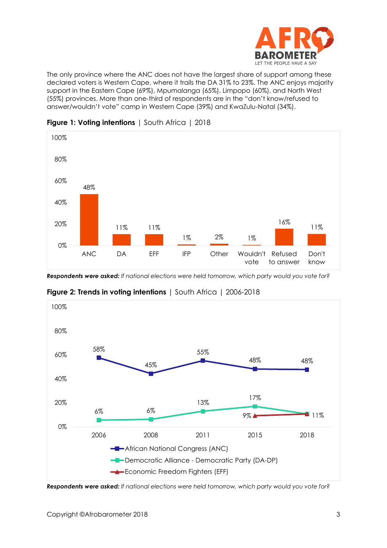

The only province where the ANC does not have the largest share of support among these declared voters is Western Cape, where it trails the DA 31% to 23%. The ANC enjoys majority support in the Eastern Cape (69%), Mpumalanga (65%), Limpopo (60%), and North West (55%) provinces. More than one-third of respondents are in the "don't know/refused to answer/wouldn't vote" camp in Western Cape (39%) and KwaZulu-Natal (34%).



### **Figure 1: Voting intentions** | South Africa | 2018

*Respondents were asked: If national elections were held tomorrow, which party would you vote for?*



**Figure 2: Trends in voting intentions** | South Africa | 2006-2018

*Respondents were asked: If national elections were held tomorrow, which party would you vote for?*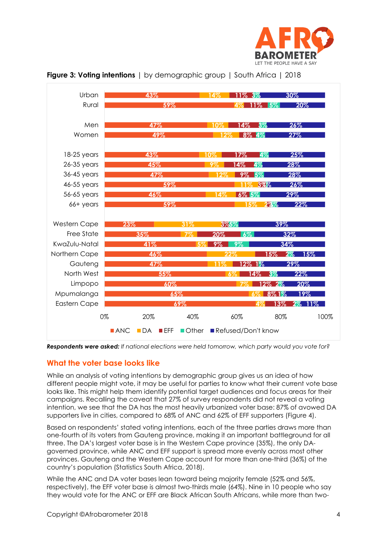





*Respondents were asked: If national elections were held tomorrow, which party would you vote for?*

### **What the voter base looks like**

While an analysis of voting intentions by demographic group gives us an idea of how different people might vote, it may be useful for parties to know what their current vote base looks like. This might help them identify potential target audiences and focus areas for their campaigns. Recalling the caveat that 27% of survey respondents did not reveal a voting intention, we see that the DA has the most heavily urbanized voter base: 87% of avowed DA supporters live in cities, compared to 68% of ANC and 62% of EFF supporters (Figure 4).

Based on respondents' stated voting intentions, each of the three parties draws more than one-fourth of its voters from Gauteng province, making it an important battleground for all three. The DA's largest voter base is in the Western Cape province (35%), the only DAgoverned province, while ANC and EFF support is spread more evenly across most other provinces. Gauteng and the Western Cape account for more than one-third (36%) of the country's population (Statistics South Africa, 2018).

While the ANC and DA voter bases lean toward being majority female (52% and 56%, respectively), the EFF voter base is almost two-thirds male (64%). Nine in 10 people who say they would vote for the ANC or EFF are Black African South Africans, while more than two-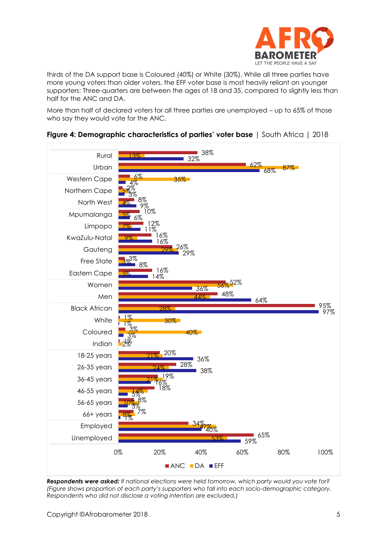

thirds of the DA support base is Coloured (40%) or White (30%). While all three parties have more young voters than older voters, the EFF voter base is most heavily reliant on younger supporters: Three-quarters are between the ages of 18 and 35, compared to slightly less than half for the ANC and DA.

More than half of declared voters for all three parties are unemployed – up to 65% of those who say they would vote for the ANC.



#### **Figure 4: Demographic characteristics of parties' voter base** | South Africa | 2018

*Respondents were asked: If national elections were held tomorrow, which party would you vote for? (Figure shows proportion of each party's supporters who fall into each socio-demographic category. Respondents who did not disclose a voting intention are excluded.)*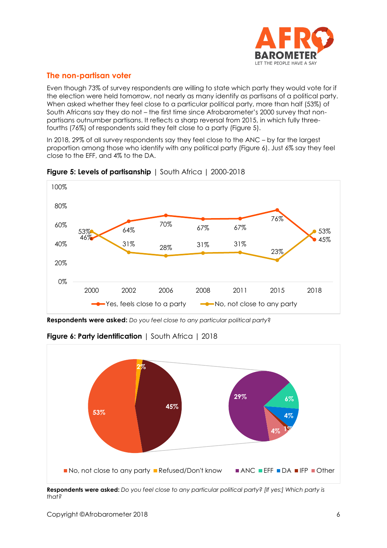

# **The non-partisan voter**

Even though 73% of survey respondents are willing to state which party they would vote for if the election were held tomorrow, not nearly as many identify as partisans of a political party. When asked whether they feel close to a particular political party, more than half (53%) of South Africans say they do not – the first time since Afrobarometer's 2000 survey that nonpartisans outnumber partisans. It reflects a sharp reversal from 2015, in which fully threefourths (76%) of respondents said they felt close to a party (Figure 5).

In 2018, 29% of all survey respondents say they feel close to the ANC – by far the largest proportion among those who identify with any political party (Figure 6). Just 6% say they feel close to the EFF, and 4% to the DA.



**Figure 5: Levels of partisanship** | South Africa | 2000-2018

**Respondents were asked:** *Do you feel close to any particular political party*?



**Figure 6: Party identification** | South Africa | 2018

**Respondents were asked:** *Do you feel close to any particular political party? [If yes:] Which party is that?*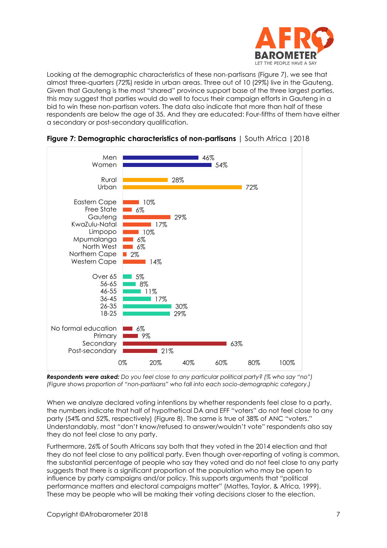

Looking at the demographic characteristics of these non-partisans (Figure 7), we see that almost three-quarters (72%) reside in urban areas. Three out of 10 (29%) live in the Gauteng. Given that Gauteng is the most "shared" province support base of the three largest parties, this may suggest that parties would do well to focus their campaign efforts in Gauteng in a bid to win these non-partisan voters. The data also indicate that more than half of these respondents are below the age of 35. And they are educated: Four-fifths of them have either a secondary or post-secondary qualification.





*Respondents were asked: Do you feel close to any particular political party? (% who say "no") (Figure shows proportion of "non-partisans" who fall into each socio-demographic category*.*)*

When we analyze declared voting intentions by whether respondents feel close to a party, the numbers indicate that half of hypothetical DA and EFF "voters" do not feel close to any party (54% and 52%, respectively) (Figure 8). The same is true of 38% of ANC "voters." Understandably, most "don't know/refused to answer/wouldn't vote" respondents also say they do not feel close to any party.

Furthermore, 26% of South Africans say both that they voted in the 2014 election and that they do not feel close to any political party. Even though over-reporting of voting is common, the substantial percentage of people who say they voted and do not feel close to any party suggests that there is a significant proportion of the population who may be open to influence by party campaigns and/or policy. This supports arguments that "political performance matters and electoral campaigns matter" (Mattes, Taylor, & Africa, 1999). These may be people who will be making their voting decisions closer to the election.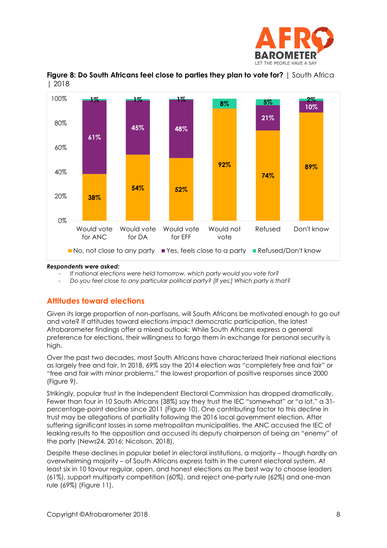



**Figure 8: Do South Africans feel close to parties they plan to vote for?** | South Africa | 2018

#### *Respondents were asked:*

- *If national elections were held tomorrow, which party would you vote for?*
- *Do you feel close to any particular political party? [If yes:] Which party is that?*

## **Attitudes toward elections**

Given its large proportion of non-partisans, will South Africans be motivated enough to go out and vote? If attitudes toward elections impact democratic participation, the latest Afrobarometer findings offer a mixed outlook: While South Africans express a general preference for elections, their willingness to forgo them in exchange for personal security is high.

Over the past two decades, most South Africans have characterized their national elections as largely free and fair. In 2018, 69% say the 2014 election was "completely free and fair" or "free and fair with minor problems," the lowest proportion of positive responses since 2000 (Figure 9).

Strikingly, popular trust in the Independent Electoral Commission has dropped dramatically. Fewer than four in 10 South Africans (38%) say they trust the IEC "somewhat" or "a lot," a 31percentage-point decline since 2011 (Figure 10). One contributing factor to this decline in trust may be allegations of partiality following the 2016 local government election. After suffering significant losses in some metropolitan municipalities, the ANC accused the IEC of leaking results to the opposition and accused its deputy chairperson of being an "enemy" of the party (News24, 2016; Nicolson, 2018).

Despite these declines in popular belief in electoral institutions, a majority – though hardly an overwhelming majority – of South Africans express faith in the current electoral system. At least six in 10 favour regular, open, and honest elections as the best way to choose leaders (61%), support multiparty competition (60%), and reject one-party rule (62%) and one-man rule (69%) (Figure 11).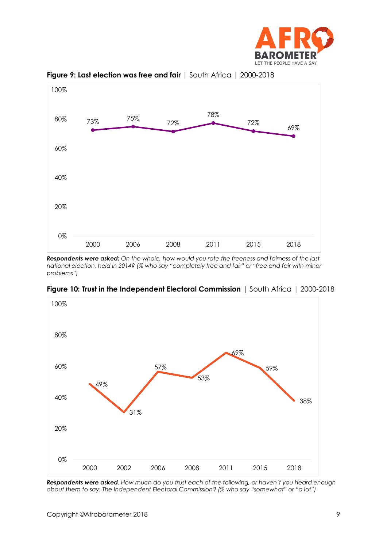



**Figure 9: Last election was free and fair** | South Africa | 2000-2018

*Respondents were asked: On the whole, how would you rate the freeness and fairness of the last national election, held in 2014? (% who say "completely free and fair" or "free and fair with minor problems")*

**Figure 10: Trust in the Independent Electoral Commission** | South Africa | 2000-2018



*Respondents were asked. How much do you trust each of the following, or haven't you heard enough about them to say: The Independent Electoral Commission*? *(% who say "somewhat" or "a lot")*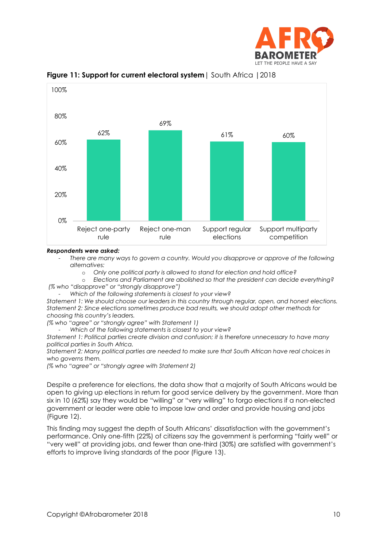



**Figure 11: Support for current electoral system**| South Africa |2018

#### *Respondents were asked:*

- *There are many ways to govern a country. Would you disapprove or approve of the following alternatives:*

o *Only one political party is allowed to stand for election and hold office?*

o *Elections and Parliament are abolished so that the president can decide everything? (% who "disapprove" or "strongly disapprove")* 

- *Which of the following statements is closest to your view?*

*Statement 1: We should choose our leaders in this country through regular, open, and honest elections. Statement 2: Since elections sometimes produce bad results, we should adopt other methods for choosing this country's leaders.*

*(% who "agree" or "strongly agree" with Statement 1)*

- *Which of the following statements is closest to your view?*

*Statement 1: Political parties create division and confusion; it is therefore unnecessary to have many political parties in South Africa.*

*Statement 2: Many political parties are needed to make sure that South African have real choices in who governs them.*

*(% who "agree" or "strongly agree with Statement 2)*

Despite a preference for elections, the data show that a majority of South Africans would be open to giving up elections in return for good service delivery by the government. More than six in 10 (62%) say they would be "willing" or "very willing" to forgo elections if a non-elected government or leader were able to impose law and order and provide housing and jobs (Figure 12).

This finding may suggest the depth of South Africans' dissatisfaction with the government's performance. Only one-fifth (22%) of citizens say the government is performing "fairly well" or "very well" at providing jobs, and fewer than one-third (30%) are satisfied with government's efforts to improve living standards of the poor (Figure 13).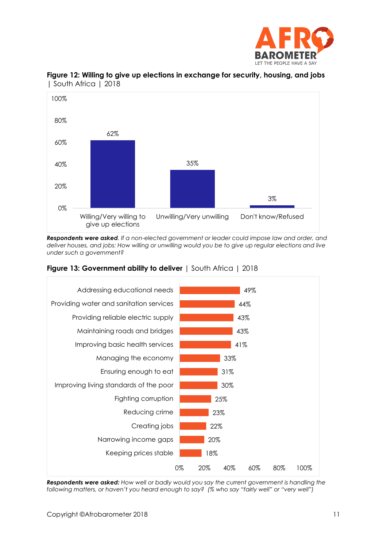



**Figure 12: Willing to give up elections in exchange for security, housing, and jobs**  | South Africa | 2018

*Respondents were asked. If a non-elected government or leader could impose law and order, and deliver houses, and jobs: How willing or unwilling would you be to give up regular elections and live under such a government?*



### **Figure 13: Government ability to deliver** | South Africa | 2018

*Respondents were asked: How well or badly would you say the current government is handling the following matters, or haven't you heard enough to say? (% who say "fairly well" or "very well")*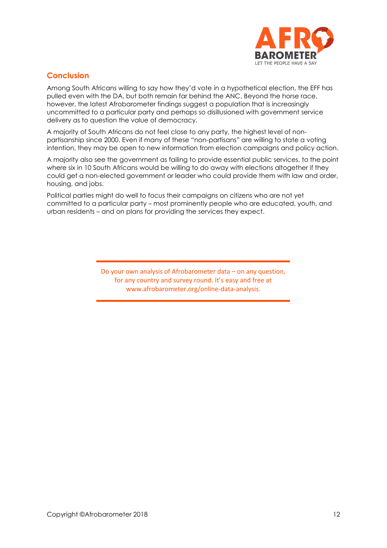

# **Conclusion**

Among South Africans willing to say how they'd vote in a hypothetical election, the EFF has pulled even with the DA, but both remain far behind the ANC. Beyond the horse race, however, the latest Afrobarometer findings suggest a population that is increasingly uncommitted to a particular party and perhaps so disillusioned with government service delivery as to question the value of democracy.

A majority of South Africans do not feel close to any party, the highest level of nonpartisanship since 2000. Even if many of these "non-partisans" are willing to state a voting intention, they may be open to new information from election campaigns and policy action.

A majority also see the government as failing to provide essential public services, to the point where six in 10 South Africans would be willing to do away with elections altogether if they could get a non-elected government or leader who could provide them with law and order, housing, and jobs.

Political parties might do well to focus their campaigns on citizens who are not yet committed to a particular party – most prominently people who are educated, youth, and urban residents – and on plans for providing the services they expect.

> Do your own analysis of Afrobarometer data – on any question, for any country and survey round. It's easy and free at www.afrobarometer.org/online-data-analysis.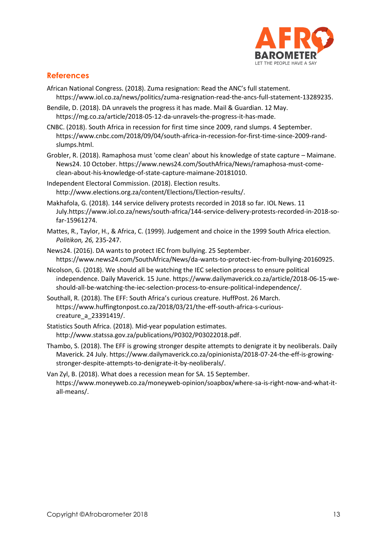

## **References**

- African National Congress. (2018). Zuma resignation: Read the ANC's full statement. [https://www.iol.co.za/news/politics/zuma-resignation-read-the-ancs-full-statement-13289235.](https://www.iol.co.za/news/politics/zuma-resignation-read-the-ancs-full-statement-13289235)
- Bendile, D. (2018). DA unravels the progress it has made. Mail & Guardian. 12 May. [https://mg.co.za/article/2018-05-12-da-unravels-the-progress-it-has-made.](https://mg.co.za/article/2018-05-12-da-unravels-the-progress-it-has-made)
- CNBC. (2018). South Africa in recession for first time since 2009, rand slumps. 4 September. [https://www.cnbc.com/2018/09/04/south-africa-in-recession-for-first-time-since-2009-rand](https://www.cnbc.com/2018/09/04/south-africa-in-recession-for-first-time-since-2009-rand-slumps.html)[slumps.html.](https://www.cnbc.com/2018/09/04/south-africa-in-recession-for-first-time-since-2009-rand-slumps.html)
- Grobler, R. (2018). Ramaphosa must 'come clean' about his knowledge of state capture Maimane. News24. 10 October. [https://www.news24.com/SouthAfrica/News/ramaphosa-must-come](https://www.news24.com/SouthAfrica/News/ramaphosa-must-come-clean-about-his-knowledge-of-state-capture-maimane-20181010)[clean-about-his-knowledge-of-state-capture-maimane-20181010.](https://www.news24.com/SouthAfrica/News/ramaphosa-must-come-clean-about-his-knowledge-of-state-capture-maimane-20181010)
- Independent Electoral Commission. (2018). Election results. [http://www.elections.org.za/content/Elections/Election-results/.](http://www.elections.org.za/content/Elections/Election-results/)
- Makhafola, G. (2018). 144 service delivery protests recorded in 2018 so far. IOL News. 11 July[.https://www.iol.co.za/news/south-africa/144-service-delivery-protests-recorded-in-2018-so](https://www.iol.co.za/news/south-africa/144-service-delivery-protests-recorded-in-2018-so-far-15961274)[far-15961274.](https://www.iol.co.za/news/south-africa/144-service-delivery-protests-recorded-in-2018-so-far-15961274)
- Mattes, R., Taylor, H., & Africa, C. (1999). Judgement and choice in the 1999 South Africa election. *Politikon, 26,* 235-247.
- News24. (2016). DA wants to protect IEC from bullying. 25 September. [https://www.news24.com/SouthAfrica/News/da-wants-to-protect-iec-from-bullying-20160925.](https://www.news24.com/SouthAfrica/News/da-wants-to-protect-iec-from-bullying-20160925)
- Nicolson, G. (2018). We should all be watching the IEC selection process to ensure political independence. Daily Maverick. 15 June. [https://www.dailymaverick.co.za/article/2018-06-15-we](https://www.dailymaverick.co.za/article/2018-06-15-we-should-all-be-watching-the-iec-selection-process-to-ensure-political-independence/)[should-all-be-watching-the-iec-selection-process-to-ensure-political-independence/.](https://www.dailymaverick.co.za/article/2018-06-15-we-should-all-be-watching-the-iec-selection-process-to-ensure-political-independence/)
- Southall, R. (2018). The EFF: South Africa's curious creature. HuffPost. 26 March. [https://www.huffingtonpost.co.za/2018/03/21/the-eff-south-africa-s-curious](https://www.huffingtonpost.co.za/2018/03/21/the-eff-south-africa-s-curious-creature_a_23391419/)[creature\\_a\\_23391419/.](https://www.huffingtonpost.co.za/2018/03/21/the-eff-south-africa-s-curious-creature_a_23391419/)
- Statistics South Africa. (2018). Mid-year population estimates. [http://www.statssa.gov.za/publications/P0302/P03022018.pdf.](http://www.statssa.gov.za/publications/P0302/P03022018.pdf)
- Thambo, S. (2018). The EFF is growing stronger despite attempts to denigrate it by neoliberals. Daily Maverick. 24 July. [https://www.dailymaverick.co.za/opinionista/2018-07-24-the-eff-is-growing](https://www.dailymaverick.co.za/opinionista/2018-07-24-the-eff-is-growing-stronger-despite-attempts-to-denigrate-it-by-neoliberals/)[stronger-despite-attempts-to-denigrate-it-by-neoliberals/.](https://www.dailymaverick.co.za/opinionista/2018-07-24-the-eff-is-growing-stronger-despite-attempts-to-denigrate-it-by-neoliberals/)
- Van Zyl, B. (2018). What does a recession mean for SA. 15 September. [https://www.moneyweb.co.za/moneyweb-opinion/soapbox/where-sa-is-right-now-and-what-it](https://www.moneyweb.co.za/moneyweb-opinion/soapbox/where-sa-is-right-now-and-what-it-all-means/)[all-means/.](https://www.moneyweb.co.za/moneyweb-opinion/soapbox/where-sa-is-right-now-and-what-it-all-means/)